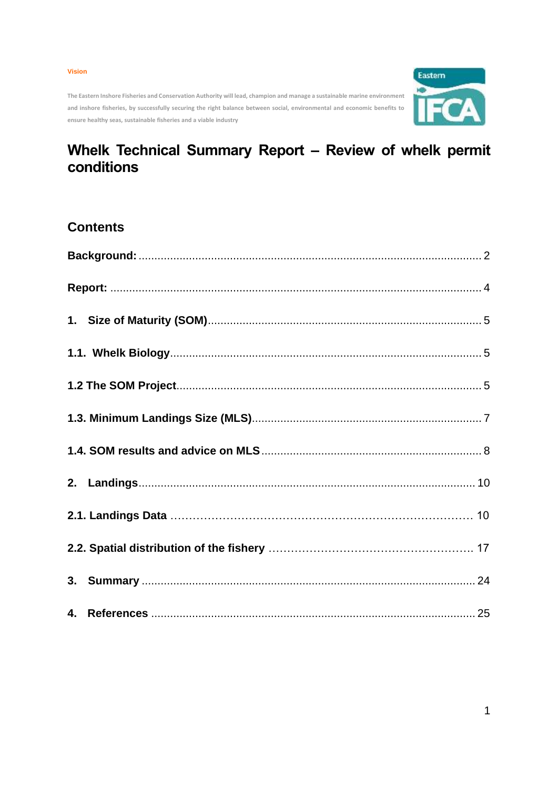#### **Vision**

**The Eastern Inshore Fisheries and Conservation Authority will lead, champion and manage a sustainable marine environment and inshore fisheries, by successfully securing the right balance between social, environmental and economic benefits to ensure healthy seas, sustainable fisheries and a viable industry**



# **Whelk Technical Summary Report – Review of whelk permit conditions**

# **Contents**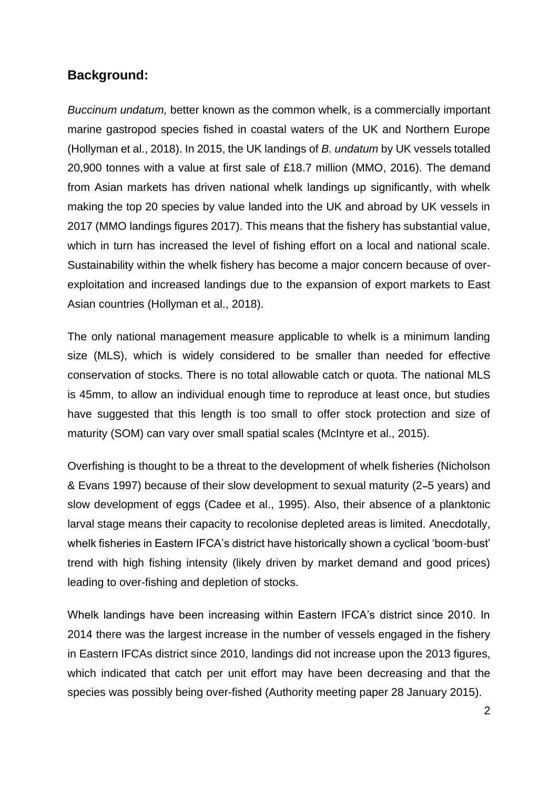# <span id="page-1-0"></span>**Background:**

*Buccinum undatum,* better known as the common whelk, is a commercially important marine gastropod species fished in coastal waters of the UK and Northern Europe (Hollyman et al., 2018). In 2015, the UK landings of *B. undatum* by UK vessels totalled 20,900 tonnes with a value at first sale of £18.7 million (MMO, 2016). The demand from Asian markets has driven national whelk landings up significantly, with whelk making the top 20 species by value landed into the UK and abroad by UK vessels in 2017 (MMO landings figures 2017). This means that the fishery has substantial value, which in turn has increased the level of fishing effort on a local and national scale. Sustainability within the whelk fishery has become a major concern because of overexploitation and increased landings due to the expansion of export markets to East Asian countries (Hollyman et al., 2018).

The only national management measure applicable to whelk is a minimum landing size (MLS), which is widely considered to be smaller than needed for effective conservation of stocks. There is no total allowable catch or quota. The national MLS is 45mm, to allow an individual enough time to reproduce at least once, but studies have suggested that this length is too small to offer stock protection and size of maturity (SOM) can vary over small spatial scales (McIntyre et al., 2015).

Overfishing is thought to be a threat to the development of whelk fisheries (Nicholson & Evans 1997) because of their slow development to sexual maturity (2**–**5 years) and slow development of eggs (Cadee et al., 1995). Also, their absence of a planktonic larval stage means their capacity to recolonise depleted areas is limited. Anecdotally, whelk fisheries in Eastern IFCA's district have historically shown a cyclical 'boom-bust' trend with high fishing intensity (likely driven by market demand and good prices) leading to over-fishing and depletion of stocks.

Whelk landings have been increasing within Eastern IFCA's district since 2010. In 2014 there was the largest increase in the number of vessels engaged in the fishery in Eastern IFCAs district since 2010, landings did not increase upon the 2013 figures, which indicated that catch per unit effort may have been decreasing and that the species was possibly being over-fished (Authority meeting paper 28 January 2015).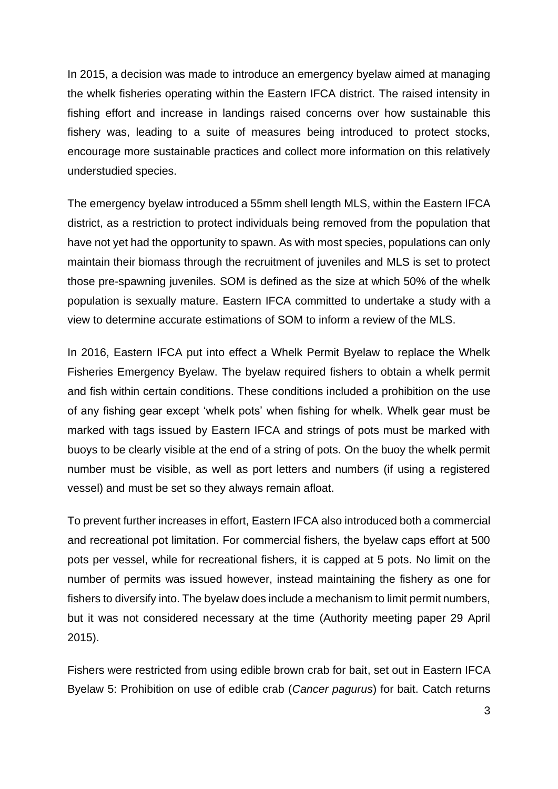In 2015, a decision was made to introduce an emergency byelaw aimed at managing the whelk fisheries operating within the Eastern IFCA district. The raised intensity in fishing effort and increase in landings raised concerns over how sustainable this fishery was, leading to a suite of measures being introduced to protect stocks, encourage more sustainable practices and collect more information on this relatively understudied species.

The emergency byelaw introduced a 55mm shell length MLS, within the Eastern IFCA district, as a restriction to protect individuals being removed from the population that have not yet had the opportunity to spawn. As with most species, populations can only maintain their biomass through the recruitment of juveniles and MLS is set to protect those pre-spawning juveniles. SOM is defined as the size at which 50% of the whelk population is sexually mature. Eastern IFCA committed to undertake a study with a view to determine accurate estimations of SOM to inform a review of the MLS.

In 2016, Eastern IFCA put into effect a Whelk Permit Byelaw to replace the Whelk Fisheries Emergency Byelaw. The byelaw required fishers to obtain a whelk permit and fish within certain conditions. These conditions included a prohibition on the use of any fishing gear except 'whelk pots' when fishing for whelk. Whelk gear must be marked with tags issued by Eastern IFCA and strings of pots must be marked with buoys to be clearly visible at the end of a string of pots. On the buoy the whelk permit number must be visible, as well as port letters and numbers (if using a registered vessel) and must be set so they always remain afloat.

To prevent further increases in effort, Eastern IFCA also introduced both a commercial and recreational pot limitation. For commercial fishers, the byelaw caps effort at 500 pots per vessel, while for recreational fishers, it is capped at 5 pots. No limit on the number of permits was issued however, instead maintaining the fishery as one for fishers to diversify into. The byelaw does include a mechanism to limit permit numbers, but it was not considered necessary at the time (Authority meeting paper 29 April 2015).

Fishers were restricted from using edible brown crab for bait, set out in Eastern IFCA Byelaw 5: Prohibition on use of edible crab (*Cancer pagurus*) for bait. Catch returns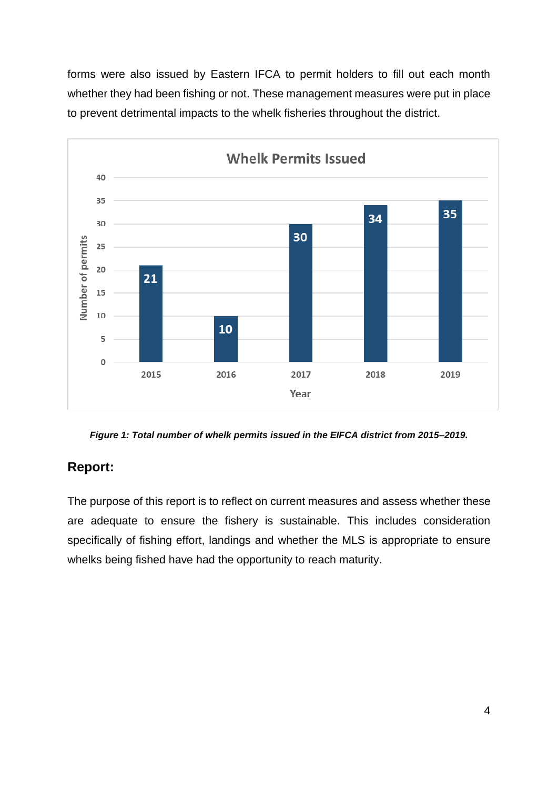forms were also issued by Eastern IFCA to permit holders to fill out each month whether they had been fishing or not. These management measures were put in place to prevent detrimental impacts to the whelk fisheries throughout the district.



*Figure 1: Total number of whelk permits issued in the EIFCA district from 2015–2019.*

# <span id="page-3-0"></span>**Report:**

The purpose of this report is to reflect on current measures and assess whether these are adequate to ensure the fishery is sustainable. This includes consideration specifically of fishing effort, landings and whether the MLS is appropriate to ensure whelks being fished have had the opportunity to reach maturity.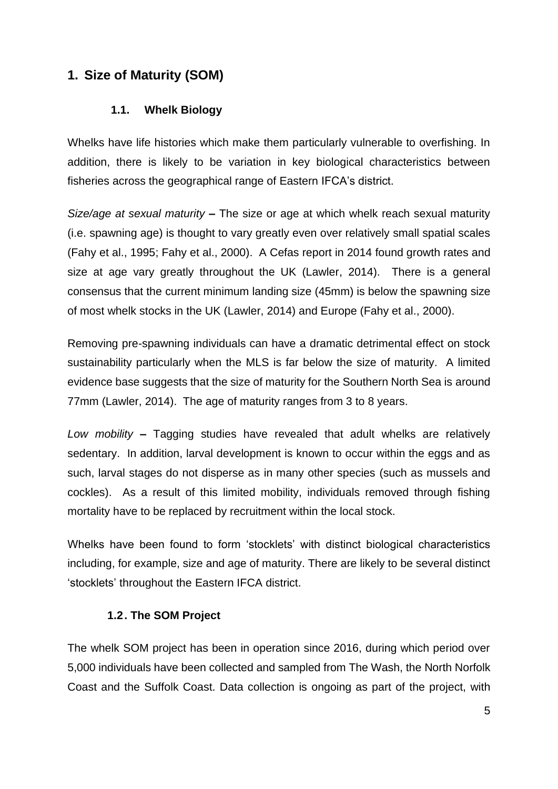# <span id="page-4-1"></span><span id="page-4-0"></span>**1. Size of Maturity (SOM)**

### **1.1. Whelk Biology**

Whelks have life histories which make them particularly vulnerable to overfishing. In addition, there is likely to be variation in key biological characteristics between fisheries across the geographical range of Eastern IFCA's district.

*Size/age at sexual maturity* **–** The size or age at which whelk reach sexual maturity (i.e. spawning age) is thought to vary greatly even over relatively small spatial scales (Fahy et al., 1995; Fahy et al., 2000). A Cefas report in 2014 found growth rates and size at age vary greatly throughout the UK (Lawler, 2014). There is a general consensus that the current minimum landing size (45mm) is below the spawning size of most whelk stocks in the UK (Lawler, 2014) and Europe (Fahy et al., 2000).

Removing pre-spawning individuals can have a dramatic detrimental effect on stock sustainability particularly when the MLS is far below the size of maturity. A limited evidence base suggests that the size of maturity for the Southern North Sea is around 77mm (Lawler, 2014). The age of maturity ranges from 3 to 8 years.

*Low mobility* **–** Tagging studies have revealed that adult whelks are relatively sedentary. In addition, larval development is known to occur within the eggs and as such, larval stages do not disperse as in many other species (such as mussels and cockles). As a result of this limited mobility, individuals removed through fishing mortality have to be replaced by recruitment within the local stock.

Whelks have been found to form 'stocklets' with distinct biological characteristics including, for example, size and age of maturity. There are likely to be several distinct 'stocklets' throughout the Eastern IFCA district.

### **1.2. The SOM Project**

<span id="page-4-2"></span>The whelk SOM project has been in operation since 2016, during which period over 5,000 individuals have been collected and sampled from The Wash, the North Norfolk Coast and the Suffolk Coast. Data collection is ongoing as part of the project, with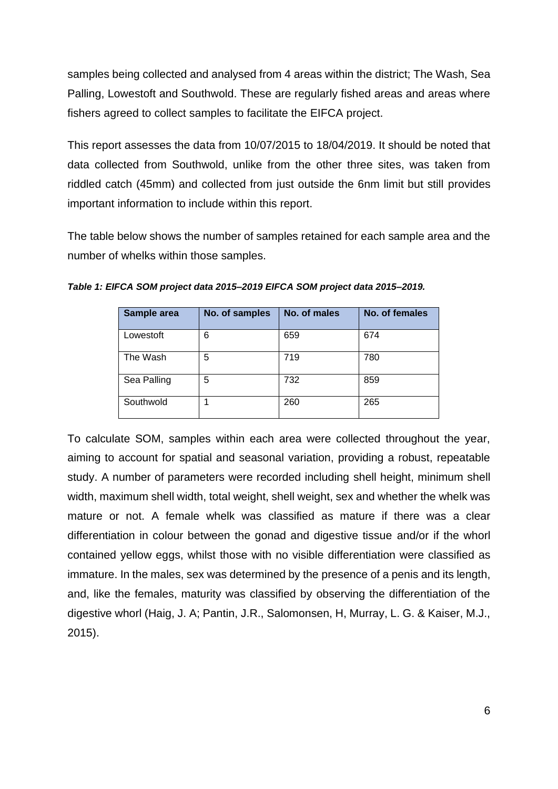samples being collected and analysed from 4 areas within the district; The Wash, Sea Palling, Lowestoft and Southwold. These are regularly fished areas and areas where fishers agreed to collect samples to facilitate the EIFCA project.

This report assesses the data from 10/07/2015 to 18/04/2019. It should be noted that data collected from Southwold, unlike from the other three sites, was taken from riddled catch (45mm) and collected from just outside the 6nm limit but still provides important information to include within this report.

The table below shows the number of samples retained for each sample area and the number of whelks within those samples.

| Sample area | No. of samples | No. of males | No. of females |
|-------------|----------------|--------------|----------------|
| Lowestoft   | 6              | 659          | 674            |
| The Wash    | 5              | 719          | 780            |
| Sea Palling | 5              | 732          | 859            |
| Southwold   |                | 260          | 265            |

*Table 1: EIFCA SOM project data 2015–2019 EIFCA SOM project data 2015–2019.*

To calculate SOM, samples within each area were collected throughout the year, aiming to account for spatial and seasonal variation, providing a robust, repeatable study. A number of parameters were recorded including shell height, minimum shell width, maximum shell width, total weight, shell weight, sex and whether the whelk was mature or not. A female whelk was classified as mature if there was a clear differentiation in colour between the gonad and digestive tissue and/or if the whorl contained yellow eggs, whilst those with no visible differentiation were classified as immature. In the males, sex was determined by the presence of a penis and its length, and, like the females, maturity was classified by observing the differentiation of the digestive whorl (Haig, J. A; Pantin, J.R., Salomonsen, H, Murray, L. G. & Kaiser, M.J., 2015).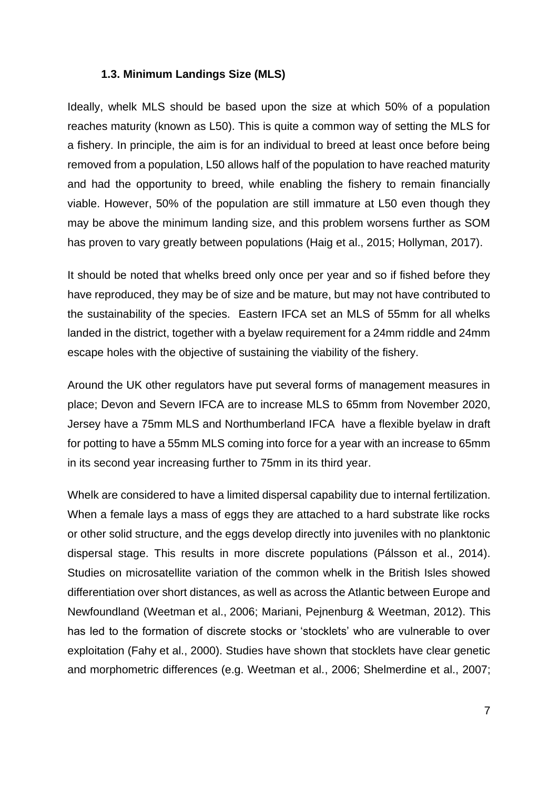#### **1.3. Minimum Landings Size (MLS)**

<span id="page-6-0"></span>Ideally, whelk MLS should be based upon the size at which 50% of a population reaches maturity (known as L50). This is quite a common way of setting the MLS for a fishery. In principle, the aim is for an individual to breed at least once before being removed from a population, L50 allows half of the population to have reached maturity and had the opportunity to breed, while enabling the fishery to remain financially viable. However, 50% of the population are still immature at L50 even though they may be above the minimum landing size, and this problem worsens further as SOM has proven to vary greatly between populations (Haig et al., 2015; Hollyman, 2017).

It should be noted that whelks breed only once per year and so if fished before they have reproduced, they may be of size and be mature, but may not have contributed to the sustainability of the species. Eastern IFCA set an MLS of 55mm for all whelks landed in the district, together with a byelaw requirement for a 24mm riddle and 24mm escape holes with the objective of sustaining the viability of the fishery.

Around the UK other regulators have put several forms of management measures in place; Devon and Severn IFCA are to increase MLS to 65mm from November 2020, Jersey have a 75mm MLS and Northumberland IFCA have a flexible byelaw in draft for potting to have a 55mm MLS coming into force for a year with an increase to 65mm in its second year increasing further to 75mm in its third year.

Whelk are considered to have a limited dispersal capability due to internal fertilization. When a female lays a mass of eggs they are attached to a hard substrate like rocks or other solid structure, and the eggs develop directly into juveniles with no planktonic dispersal stage. This results in more discrete populations (Pálsson et al., 2014). Studies on microsatellite variation of the common whelk in the British Isles showed differentiation over short distances, as well as across the Atlantic between Europe and Newfoundland (Weetman et al., 2006; Mariani, Pejnenburg & Weetman, 2012). This has led to the formation of discrete stocks or 'stocklets' who are vulnerable to over exploitation (Fahy et al., 2000). Studies have shown that stocklets have clear genetic and morphometric differences (e.g. Weetman et al., 2006; Shelmerdine et al., 2007;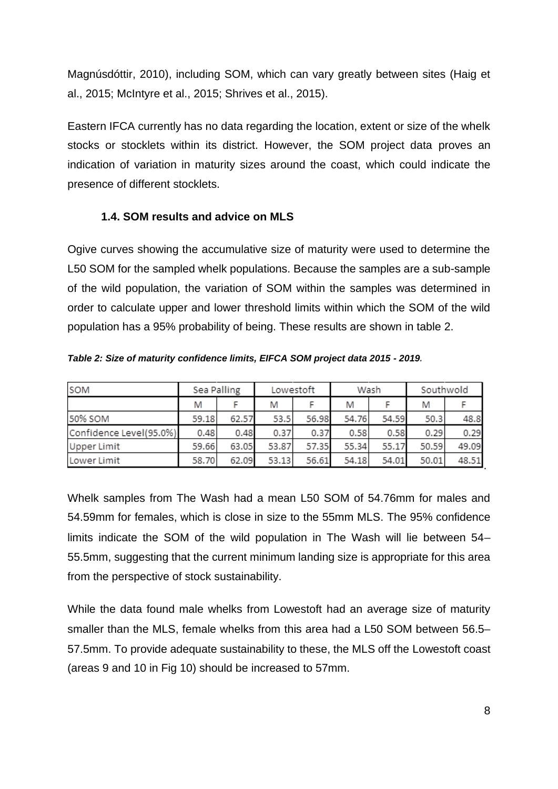Magnúsdóttir, 2010), including SOM, which can vary greatly between sites (Haig et al., 2015; McIntyre et al., 2015; Shrives et al., 2015).

Eastern IFCA currently has no data regarding the location, extent or size of the whelk stocks or stocklets within its district. However, the SOM project data proves an indication of variation in maturity sizes around the coast, which could indicate the presence of different stocklets.

### <span id="page-7-0"></span>**1.4. SOM results and advice on MLS**

Ogive curves showing the accumulative size of maturity were used to determine the L50 SOM for the sampled whelk populations. Because the samples are a sub-sample of the wild population, the variation of SOM within the samples was determined in order to calculate upper and lower threshold limits within which the SOM of the wild population has a 95% probability of being. These results are shown in table 2.

| SOM                     | Sea Palling |       | Lowestoft |       | Wash  |       | Southwold |       |
|-------------------------|-------------|-------|-----------|-------|-------|-------|-----------|-------|
|                         | M           |       | M         |       | M     |       | M         |       |
| 50% SOM                 | 59.18       | 62.57 | 53.5      | 56.98 | 54.76 | 54.59 | 50.3      | 48.8  |
| Confidence Level(95.0%) | 0.48        | 0.48  | 0.37      | 0.37  | 0.58  | 0.58  | 0.29      | 0.29  |
| <b>Upper Limit</b>      | 59.66       | 63.05 | 53.87     | 57.35 | 55.34 | 55.17 | 50.59     | 49.09 |
| Lower Limit             | 58.70       | 62.09 | 53.13     | 56.61 | 54.18 | 54.01 | 50.01     | 48.51 |

*Table 2: Size of maturity confidence limits, EIFCA SOM project data 2015 - 2019.*

Whelk samples from The Wash had a mean L50 SOM of 54.76mm for males and 54.59mm for females, which is close in size to the 55mm MLS. The 95% confidence limits indicate the SOM of the wild population in The Wash will lie between 54– 55.5mm, suggesting that the current minimum landing size is appropriate for this area from the perspective of stock sustainability.

While the data found male whelks from Lowestoft had an average size of maturity smaller than the MLS, female whelks from this area had a L50 SOM between 56.5– 57.5mm. To provide adequate sustainability to these, the MLS off the Lowestoft coast (areas 9 and 10 in Fig 10) should be increased to 57mm.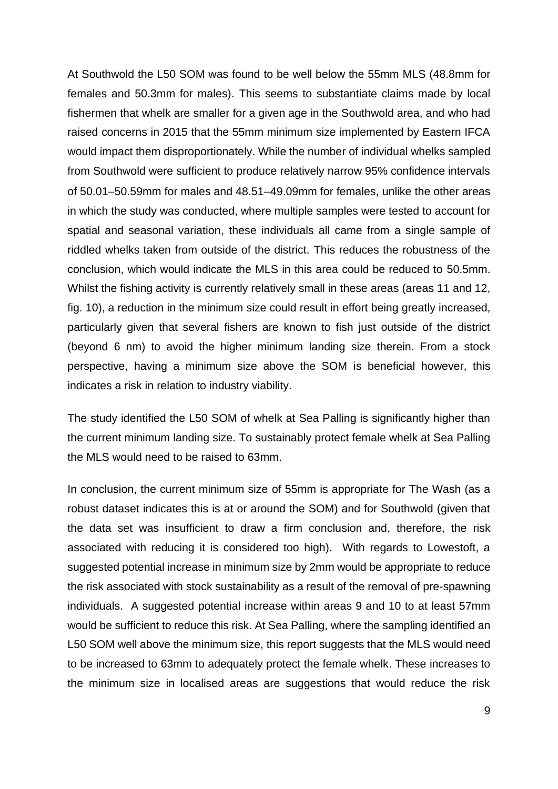At Southwold the L50 SOM was found to be well below the 55mm MLS (48.8mm for females and 50.3mm for males). This seems to substantiate claims made by local fishermen that whelk are smaller for a given age in the Southwold area, and who had raised concerns in 2015 that the 55mm minimum size implemented by Eastern IFCA would impact them disproportionately. While the number of individual whelks sampled from Southwold were sufficient to produce relatively narrow 95% confidence intervals of 50.01–50.59mm for males and 48.51–49.09mm for females, unlike the other areas in which the study was conducted, where multiple samples were tested to account for spatial and seasonal variation, these individuals all came from a single sample of riddled whelks taken from outside of the district. This reduces the robustness of the conclusion, which would indicate the MLS in this area could be reduced to 50.5mm. Whilst the fishing activity is currently relatively small in these areas (areas 11 and 12, fig. 10), a reduction in the minimum size could result in effort being greatly increased, particularly given that several fishers are known to fish just outside of the district (beyond 6 nm) to avoid the higher minimum landing size therein. From a stock perspective, having a minimum size above the SOM is beneficial however, this indicates a risk in relation to industry viability.

The study identified the L50 SOM of whelk at Sea Palling is significantly higher than the current minimum landing size. To sustainably protect female whelk at Sea Palling the MLS would need to be raised to 63mm.

In conclusion, the current minimum size of 55mm is appropriate for The Wash (as a robust dataset indicates this is at or around the SOM) and for Southwold (given that the data set was insufficient to draw a firm conclusion and, therefore, the risk associated with reducing it is considered too high). With regards to Lowestoft, a suggested potential increase in minimum size by 2mm would be appropriate to reduce the risk associated with stock sustainability as a result of the removal of pre-spawning individuals. A suggested potential increase within areas 9 and 10 to at least 57mm would be sufficient to reduce this risk. At Sea Palling, where the sampling identified an L50 SOM well above the minimum size, this report suggests that the MLS would need to be increased to 63mm to adequately protect the female whelk. These increases to the minimum size in localised areas are suggestions that would reduce the risk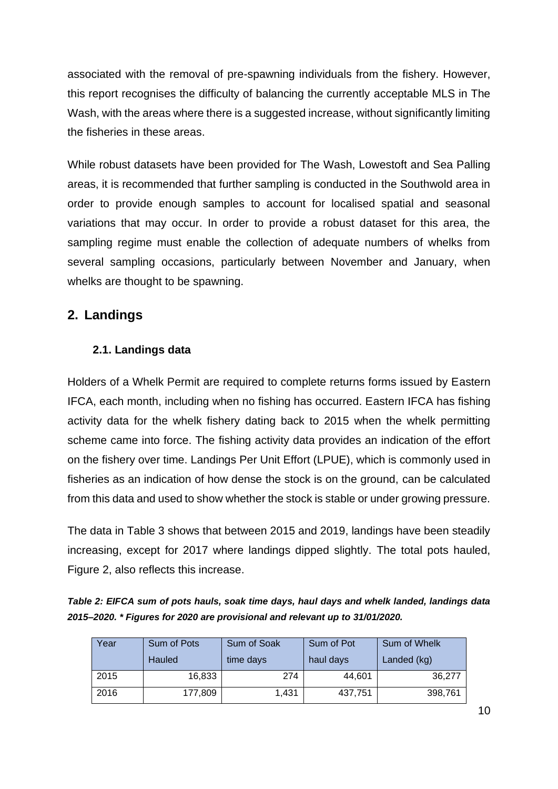associated with the removal of pre-spawning individuals from the fishery. However, this report recognises the difficulty of balancing the currently acceptable MLS in The Wash, with the areas where there is a suggested increase, without significantly limiting the fisheries in these areas.

While robust datasets have been provided for The Wash, Lowestoft and Sea Palling areas, it is recommended that further sampling is conducted in the Southwold area in order to provide enough samples to account for localised spatial and seasonal variations that may occur. In order to provide a robust dataset for this area, the sampling regime must enable the collection of adequate numbers of whelks from several sampling occasions, particularly between November and January, when whelks are thought to be spawning.

### **2. Landings**

### **2.1. Landings data**

Holders of a Whelk Permit are required to complete returns forms issued by Eastern IFCA, each month, including when no fishing has occurred. Eastern IFCA has fishing activity data for the whelk fishery dating back to 2015 when the whelk permitting scheme came into force. The fishing activity data provides an indication of the effort on the fishery over time. Landings Per Unit Effort (LPUE), which is commonly used in fisheries as an indication of how dense the stock is on the ground, can be calculated from this data and used to show whether the stock is stable or under growing pressure.

The data in Table 3 shows that between 2015 and 2019, landings have been steadily increasing, except for 2017 where landings dipped slightly. The total pots hauled, Figure 2, also reflects this increase.

*Table 2: EIFCA sum of pots hauls, soak time days, haul days and whelk landed, landings data 2015–2020. \* Figures for 2020 are provisional and relevant up to 31/01/2020.*

| Year | Sum of Pots | Sum of Soak | Sum of Pot | Sum of Whelk |  |
|------|-------------|-------------|------------|--------------|--|
|      | Hauled      | time days   | haul days  | Landed (kg)  |  |
| 2015 | 16,833      | 274         | 44,601     | 36.277       |  |
| 2016 | 177,809     | 1,431       | 437,751    | 398,761      |  |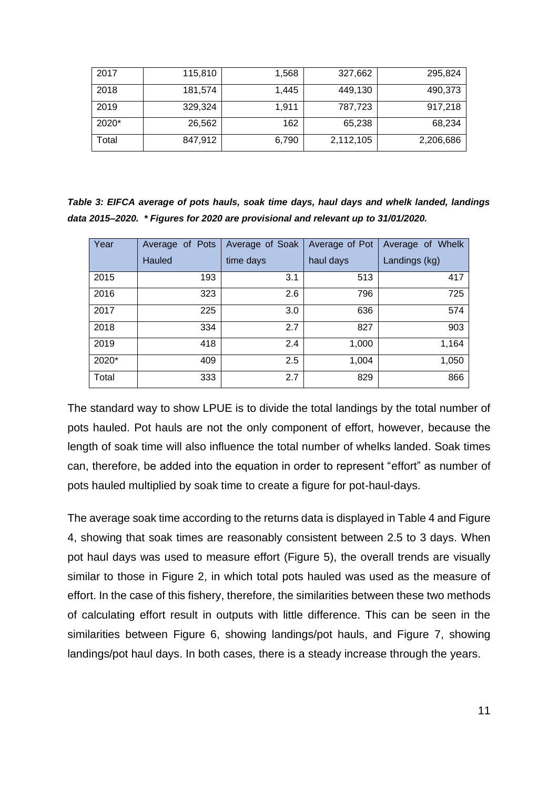| 2017    | 115,810 | 1,568 | 327,662   | 295,824   |
|---------|---------|-------|-----------|-----------|
| 2018    | 181,574 | 1,445 | 449,130   | 490,373   |
| 2019    | 329,324 | 1.911 | 787,723   | 917,218   |
| $2020*$ | 26,562  | 162   | 65,238    | 68,234    |
| Total   | 847,912 | 6,790 | 2,112,105 | 2,206,686 |

*Table 3: EIFCA average of pots hauls, soak time days, haul days and whelk landed, landings data 2015–2020. \* Figures for 2020 are provisional and relevant up to 31/01/2020.*

| Year  | Average of Pots | Average of Soak | Average of Pot | Average of Whelk |
|-------|-----------------|-----------------|----------------|------------------|
|       | Hauled          | time days       | haul days      | Landings (kg)    |
| 2015  | 193             | 3.1             | 513            | 417              |
| 2016  | 323             | 2.6             | 796            | 725              |
| 2017  | 225             | 3.0             | 636            | 574              |
| 2018  | 334             | 2.7             | 827            | 903              |
| 2019  | 418             | 2.4             | 1,000          | 1,164            |
| 2020* | 409             | 2.5             | 1,004          | 1,050            |
| Total | 333             | 2.7             | 829            | 866              |

The standard way to show LPUE is to divide the total landings by the total number of pots hauled. Pot hauls are not the only component of effort, however, because the length of soak time will also influence the total number of whelks landed. Soak times can, therefore, be added into the equation in order to represent "effort" as number of pots hauled multiplied by soak time to create a figure for pot-haul-days.

The average soak time according to the returns data is displayed in Table 4 and Figure 4, showing that soak times are reasonably consistent between 2.5 to 3 days. When pot haul days was used to measure effort (Figure 5), the overall trends are visually similar to those in Figure 2, in which total pots hauled was used as the measure of effort. In the case of this fishery, therefore, the similarities between these two methods of calculating effort result in outputs with little difference. This can be seen in the similarities between Figure 6, showing landings/pot hauls, and Figure 7, showing landings/pot haul days. In both cases, there is a steady increase through the years.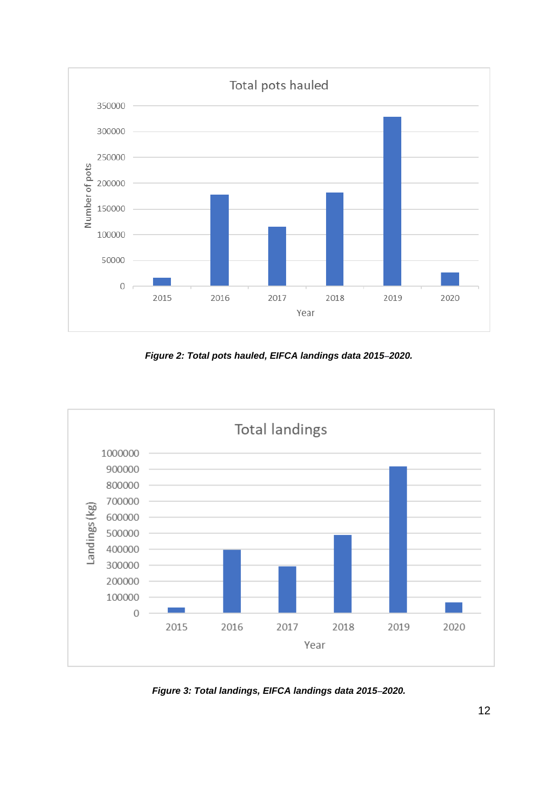

*Figure 2: Total pots hauled, EIFCA landings data 2015–2020.*



*Figure 3: Total landings, EIFCA landings data 2015–2020.*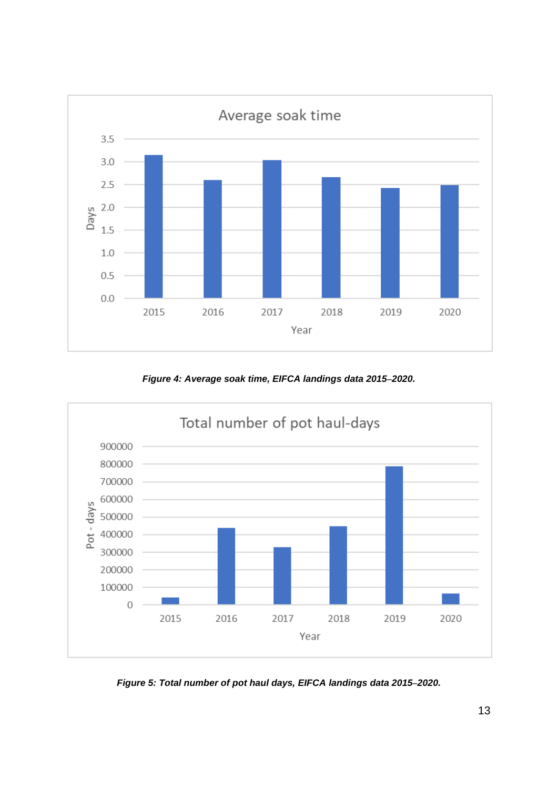

*Figure 4: Average soak time, EIFCA landings data 2015–2020.*



*Figure 5: Total number of pot haul days, EIFCA landings data 2015–2020.*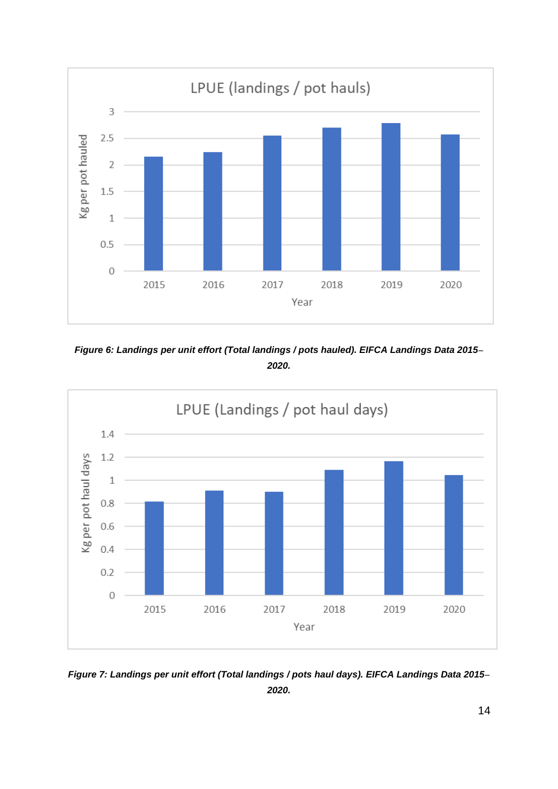

*Figure 6: Landings per unit effort (Total landings / pots hauled). EIFCA Landings Data 2015– 2020.*



*Figure 7: Landings per unit effort (Total landings / pots haul days). EIFCA Landings Data 2015– 2020.*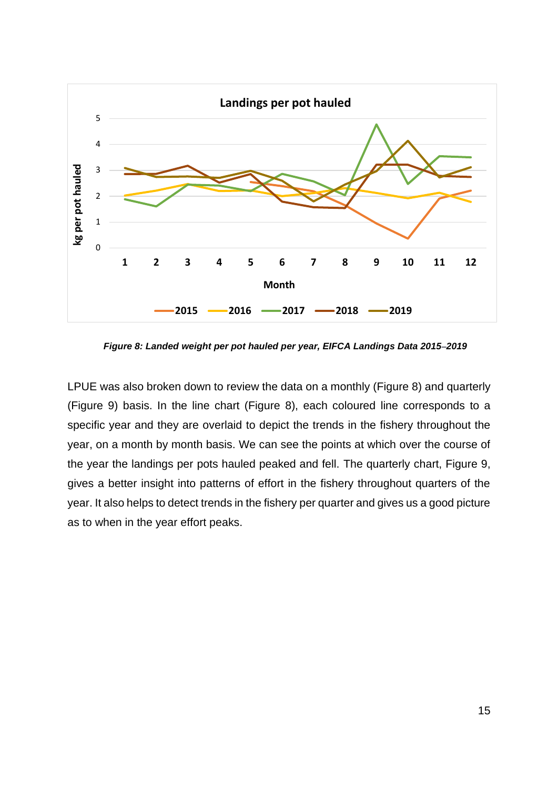

*Figure 8: Landed weight per pot hauled per year, EIFCA Landings Data 2015–2019*

LPUE was also broken down to review the data on a monthly (Figure 8) and quarterly (Figure 9) basis. In the line chart (Figure 8), each coloured line corresponds to a specific year and they are overlaid to depict the trends in the fishery throughout the year, on a month by month basis. We can see the points at which over the course of the year the landings per pots hauled peaked and fell. The quarterly chart, Figure 9, gives a better insight into patterns of effort in the fishery throughout quarters of the year. It also helps to detect trends in the fishery per quarter and gives us a good picture as to when in the year effort peaks.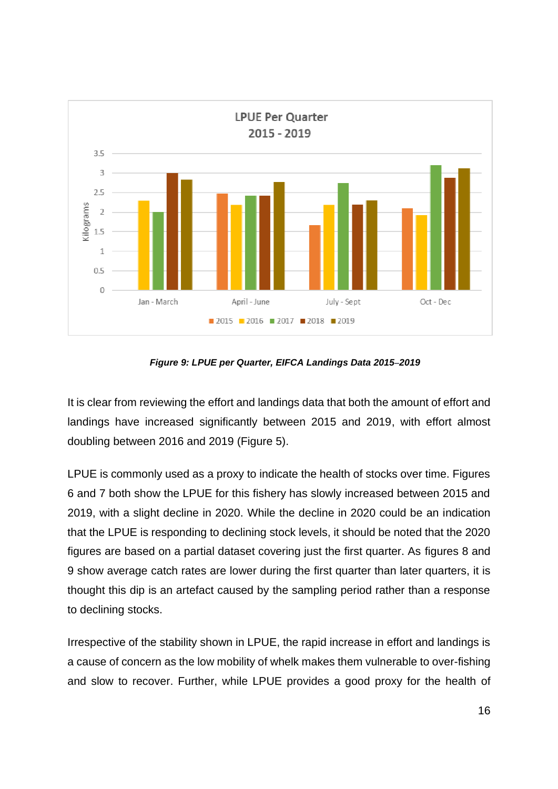

*Figure 9: LPUE per Quarter, EIFCA Landings Data 2015–2019*

It is clear from reviewing the effort and landings data that both the amount of effort and landings have increased significantly between 2015 and 2019, with effort almost doubling between 2016 and 2019 (Figure 5).

LPUE is commonly used as a proxy to indicate the health of stocks over time. Figures 6 and 7 both show the LPUE for this fishery has slowly increased between 2015 and 2019, with a slight decline in 2020. While the decline in 2020 could be an indication that the LPUE is responding to declining stock levels, it should be noted that the 2020 figures are based on a partial dataset covering just the first quarter. As figures 8 and 9 show average catch rates are lower during the first quarter than later quarters, it is thought this dip is an artefact caused by the sampling period rather than a response to declining stocks.

Irrespective of the stability shown in LPUE, the rapid increase in effort and landings is a cause of concern as the low mobility of whelk makes them vulnerable to over-fishing and slow to recover. Further, while LPUE provides a good proxy for the health of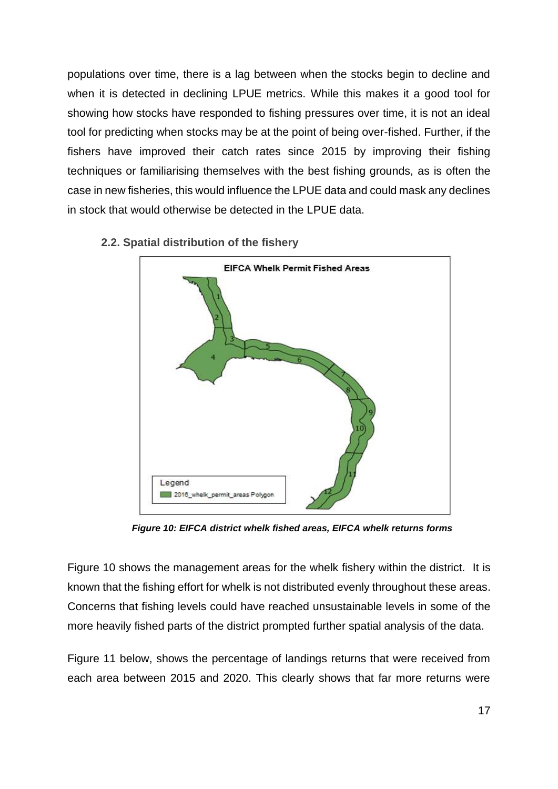populations over time, there is a lag between when the stocks begin to decline and when it is detected in declining LPUE metrics. While this makes it a good tool for showing how stocks have responded to fishing pressures over time, it is not an ideal tool for predicting when stocks may be at the point of being over-fished. Further, if the fishers have improved their catch rates since 2015 by improving their fishing techniques or familiarising themselves with the best fishing grounds, as is often the case in new fisheries, this would influence the LPUE data and could mask any declines in stock that would otherwise be detected in the LPUE data.



**2.2. Spatial distribution of the fishery**

*Figure 10: EIFCA district whelk fished areas, EIFCA whelk returns forms*

Figure 10 shows the management areas for the whelk fishery within the district. It is known that the fishing effort for whelk is not distributed evenly throughout these areas. Concerns that fishing levels could have reached unsustainable levels in some of the more heavily fished parts of the district prompted further spatial analysis of the data.

Figure 11 below, shows the percentage of landings returns that were received from each area between 2015 and 2020. This clearly shows that far more returns were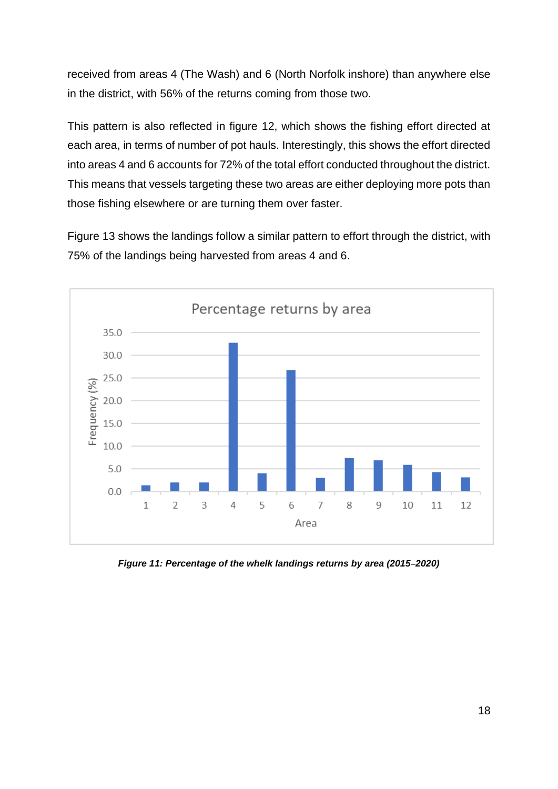received from areas 4 (The Wash) and 6 (North Norfolk inshore) than anywhere else in the district, with 56% of the returns coming from those two.

This pattern is also reflected in figure 12, which shows the fishing effort directed at each area, in terms of number of pot hauls. Interestingly, this shows the effort directed into areas 4 and 6 accounts for 72% of the total effort conducted throughout the district. This means that vessels targeting these two areas are either deploying more pots than those fishing elsewhere or are turning them over faster.

Figure 13 shows the landings follow a similar pattern to effort through the district, with 75% of the landings being harvested from areas 4 and 6.



*Figure 11: Percentage of the whelk landings returns by area (2015–2020)*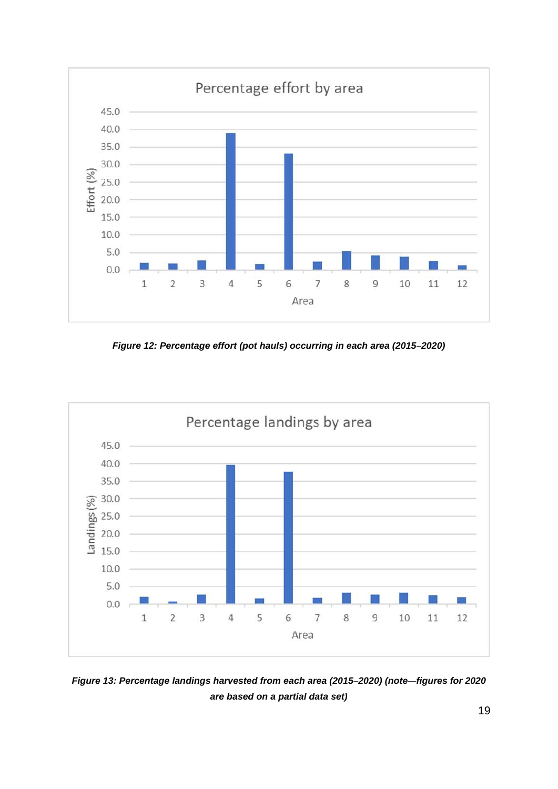

*Figure 12: Percentage effort (pot hauls) occurring in each area (2015–2020)*



*Figure 13: Percentage landings harvested from each area (2015–2020) (note—figures for 2020 are based on a partial data set)*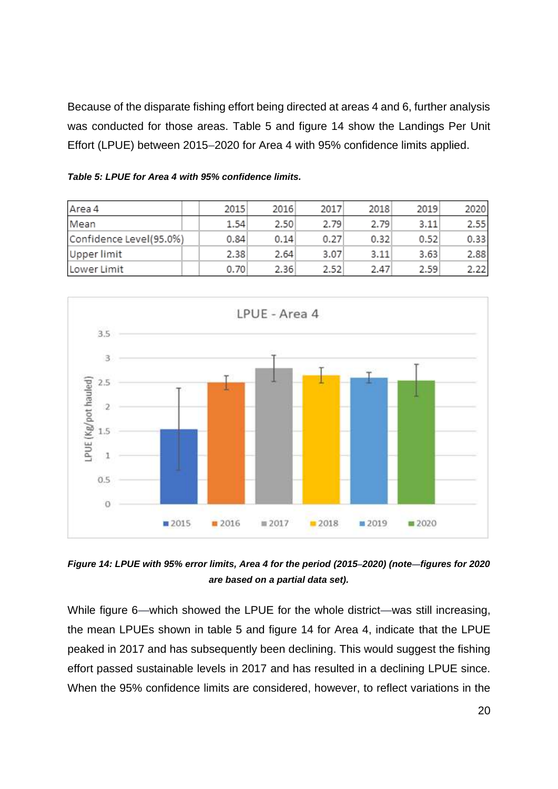Because of the disparate fishing effort being directed at areas 4 and 6, further analysis was conducted for those areas. Table 5 and figure 14 show the Landings Per Unit Effort (LPUE) between 2015–2020 for Area 4 with 95% confidence limits applied.

| Area 4                  | 2015 | 2016 | 2017 | 2018 | 2019 | 2020 |
|-------------------------|------|------|------|------|------|------|
| Mean                    | 1.54 | 2.50 | 2.79 | 2.79 | 3.11 | 2.55 |
| Confidence Level(95.0%) | 0.84 | 0.14 | 0.27 | 0.32 | 0.52 | 0.33 |
| Upper limit             | 2.38 | 2.64 | 3.07 | 3.11 | 3.63 | 2.88 |
| Lower Limit             | 0.70 | 2.36 | 2.52 | 2.47 | 2.59 | 2.22 |

*Table 5: LPUE for Area 4 with 95% confidence limits.*



*Figure 14: LPUE with 95% error limits, Area 4 for the period (2015–2020) (note—figures for 2020 are based on a partial data set).*

While figure 6—which showed the LPUE for the whole district—was still increasing, the mean LPUEs shown in table 5 and figure 14 for Area 4, indicate that the LPUE peaked in 2017 and has subsequently been declining. This would suggest the fishing effort passed sustainable levels in 2017 and has resulted in a declining LPUE since. When the 95% confidence limits are considered, however, to reflect variations in the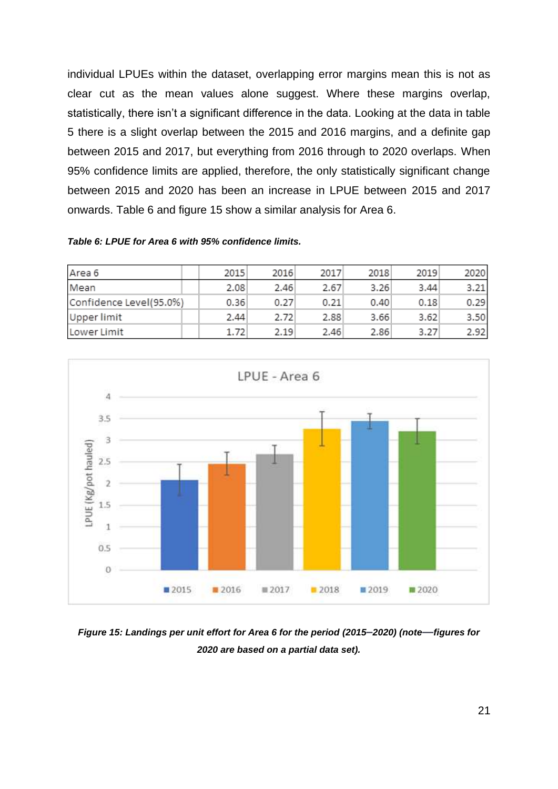individual LPUEs within the dataset, overlapping error margins mean this is not as clear cut as the mean values alone suggest. Where these margins overlap, statistically, there isn't a significant difference in the data. Looking at the data in table 5 there is a slight overlap between the 2015 and 2016 margins, and a definite gap between 2015 and 2017, but everything from 2016 through to 2020 overlaps. When 95% confidence limits are applied, therefore, the only statistically significant change between 2015 and 2020 has been an increase in LPUE between 2015 and 2017 onwards. Table 6 and figure 15 show a similar analysis for Area 6.

#### *Table 6: LPUE for Area 6 with 95% confidence limits.*

| Area 6                  | 2015 | 2016 | 2017 | 2018 | 2019 | 2020 |
|-------------------------|------|------|------|------|------|------|
| Mean                    | 2.08 | 2.46 | 2.67 | 3.26 | 3.44 | 3.21 |
| Confidence Level(95.0%) | 0.36 | 0.27 | 0.21 | 0.40 | 0.18 | 0.29 |
| Upper limit             | 2.44 | 2.72 | 2.88 | 3.66 | 3.62 | 3.50 |
| Lower Limit             | 1.72 | 2.19 | 2.46 | 2.86 | 3.27 | 2.92 |



*Figure 15: Landings per unit effort for Area 6 for the period (2015–2020) (note—figures for 2020 are based on a partial data set).*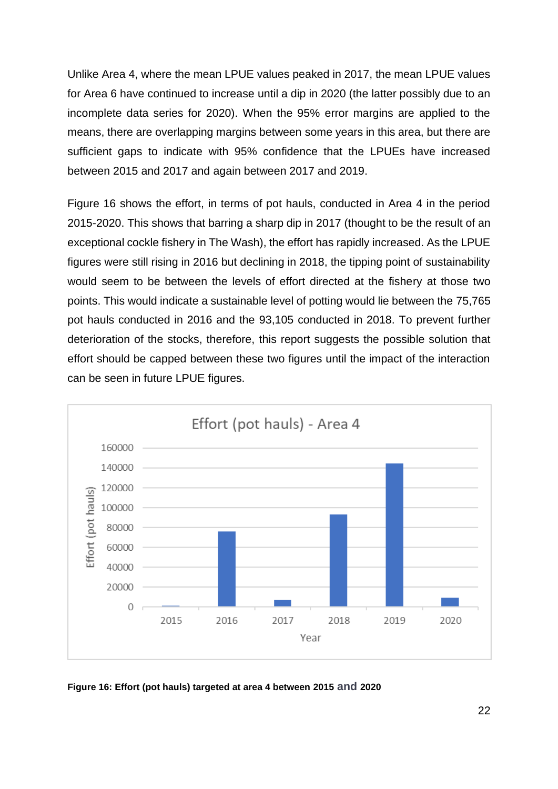Unlike Area 4, where the mean LPUE values peaked in 2017, the mean LPUE values for Area 6 have continued to increase until a dip in 2020 (the latter possibly due to an incomplete data series for 2020). When the 95% error margins are applied to the means, there are overlapping margins between some years in this area, but there are sufficient gaps to indicate with 95% confidence that the LPUEs have increased between 2015 and 2017 and again between 2017 and 2019.

Figure 16 shows the effort, in terms of pot hauls, conducted in Area 4 in the period 2015-2020. This shows that barring a sharp dip in 2017 (thought to be the result of an exceptional cockle fishery in The Wash), the effort has rapidly increased. As the LPUE figures were still rising in 2016 but declining in 2018, the tipping point of sustainability would seem to be between the levels of effort directed at the fishery at those two points. This would indicate a sustainable level of potting would lie between the 75,765 pot hauls conducted in 2016 and the 93,105 conducted in 2018. To prevent further deterioration of the stocks, therefore, this report suggests the possible solution that effort should be capped between these two figures until the impact of the interaction can be seen in future LPUE figures.



**Figure 16: Effort (pot hauls) targeted at area 4 between 2015 and 2020**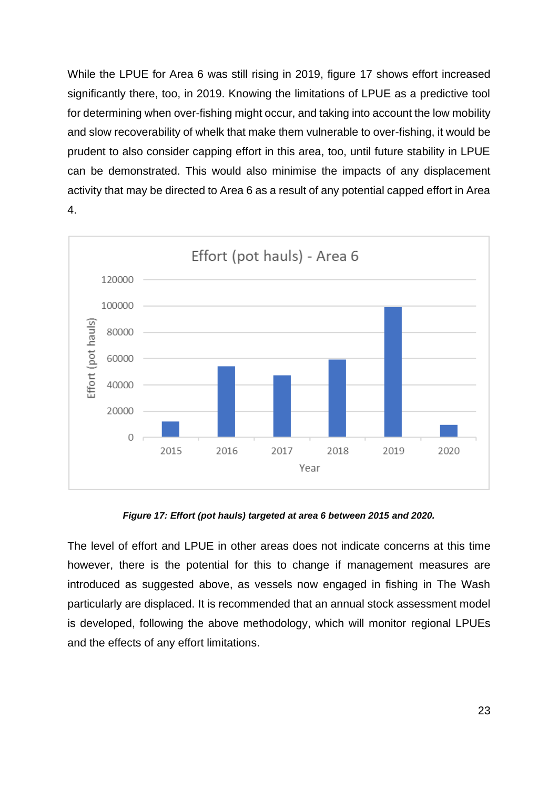While the LPUE for Area 6 was still rising in 2019, figure 17 shows effort increased significantly there, too, in 2019. Knowing the limitations of LPUE as a predictive tool for determining when over-fishing might occur, and taking into account the low mobility and slow recoverability of whelk that make them vulnerable to over-fishing, it would be prudent to also consider capping effort in this area, too, until future stability in LPUE can be demonstrated. This would also minimise the impacts of any displacement activity that may be directed to Area 6 as a result of any potential capped effort in Area 4.



*Figure 17: Effort (pot hauls) targeted at area 6 between 2015 and 2020.*

The level of effort and LPUE in other areas does not indicate concerns at this time however, there is the potential for this to change if management measures are introduced as suggested above, as vessels now engaged in fishing in The Wash particularly are displaced. It is recommended that an annual stock assessment model is developed, following the above methodology, which will monitor regional LPUEs and the effects of any effort limitations.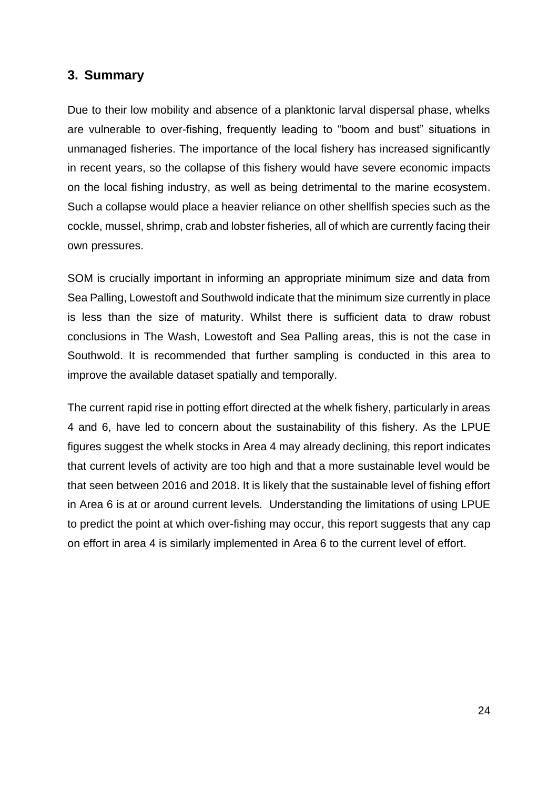### <span id="page-23-0"></span>**3. Summary**

Due to their low mobility and absence of a planktonic larval dispersal phase, whelks are vulnerable to over-fishing, frequently leading to "boom and bust" situations in unmanaged fisheries. The importance of the local fishery has increased significantly in recent years, so the collapse of this fishery would have severe economic impacts on the local fishing industry, as well as being detrimental to the marine ecosystem. Such a collapse would place a heavier reliance on other shellfish species such as the cockle, mussel, shrimp, crab and lobster fisheries, all of which are currently facing their own pressures.

SOM is crucially important in informing an appropriate minimum size and data from Sea Palling, Lowestoft and Southwold indicate that the minimum size currently in place is less than the size of maturity. Whilst there is sufficient data to draw robust conclusions in The Wash, Lowestoft and Sea Palling areas, this is not the case in Southwold. It is recommended that further sampling is conducted in this area to improve the available dataset spatially and temporally.

The current rapid rise in potting effort directed at the whelk fishery, particularly in areas 4 and 6, have led to concern about the sustainability of this fishery. As the LPUE figures suggest the whelk stocks in Area 4 may already declining, this report indicates that current levels of activity are too high and that a more sustainable level would be that seen between 2016 and 2018. It is likely that the sustainable level of fishing effort in Area 6 is at or around current levels. Understanding the limitations of using LPUE to predict the point at which over-fishing may occur, this report suggests that any cap on effort in area 4 is similarly implemented in Area 6 to the current level of effort.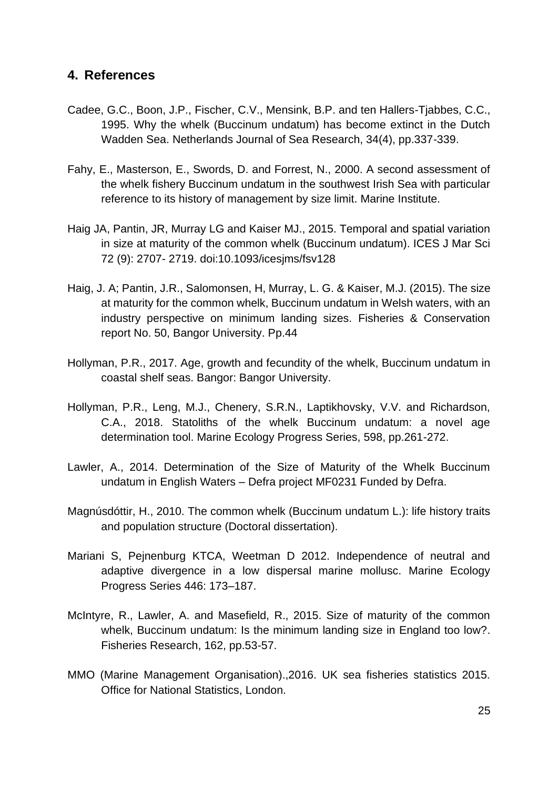### <span id="page-24-0"></span>**4. References**

- Cadee, G.C., Boon, J.P., Fischer, C.V., Mensink, B.P. and ten Hallers-Tjabbes, C.C., 1995. Why the whelk (Buccinum undatum) has become extinct in the Dutch Wadden Sea. Netherlands Journal of Sea Research, 34(4), pp.337-339.
- Fahy, E., Masterson, E., Swords, D. and Forrest, N., 2000. A second assessment of the whelk fishery Buccinum undatum in the southwest Irish Sea with particular reference to its history of management by size limit. Marine Institute.
- Haig JA, Pantin, JR, Murray LG and Kaiser MJ., 2015. Temporal and spatial variation in size at maturity of the common whelk (Buccinum undatum). ICES J Mar Sci 72 (9): 2707- 2719. doi:10.1093/icesjms/fsv128
- Haig, J. A; Pantin, J.R., Salomonsen, H, Murray, L. G. & Kaiser, M.J. (2015). The size at maturity for the common whelk, Buccinum undatum in Welsh waters, with an industry perspective on minimum landing sizes. Fisheries & Conservation report No. 50, Bangor University. Pp.44
- Hollyman, P.R., 2017. Age, growth and fecundity of the whelk, Buccinum undatum in coastal shelf seas. Bangor: Bangor University.
- Hollyman, P.R., Leng, M.J., Chenery, S.R.N., Laptikhovsky, V.V. and Richardson, C.A., 2018. Statoliths of the whelk Buccinum undatum: a novel age determination tool. Marine Ecology Progress Series, 598, pp.261-272.
- Lawler, A., 2014. Determination of the Size of Maturity of the Whelk Buccinum undatum in English Waters – Defra project MF0231 Funded by Defra.
- Magnúsdóttir, H., 2010. The common whelk (Buccinum undatum L.): life history traits and population structure (Doctoral dissertation).
- Mariani S, Pejnenburg KTCA, Weetman D 2012. Independence of neutral and adaptive divergence in a low dispersal marine mollusc. Marine Ecology Progress Series 446: 173–187.
- McIntyre, R., Lawler, A. and Masefield, R., 2015. Size of maturity of the common whelk, Buccinum undatum: Is the minimum landing size in England too low?. Fisheries Research, 162, pp.53-57.
- MMO (Marine Management Organisation).,2016. UK sea fisheries statistics 2015. Office for National Statistics, London.